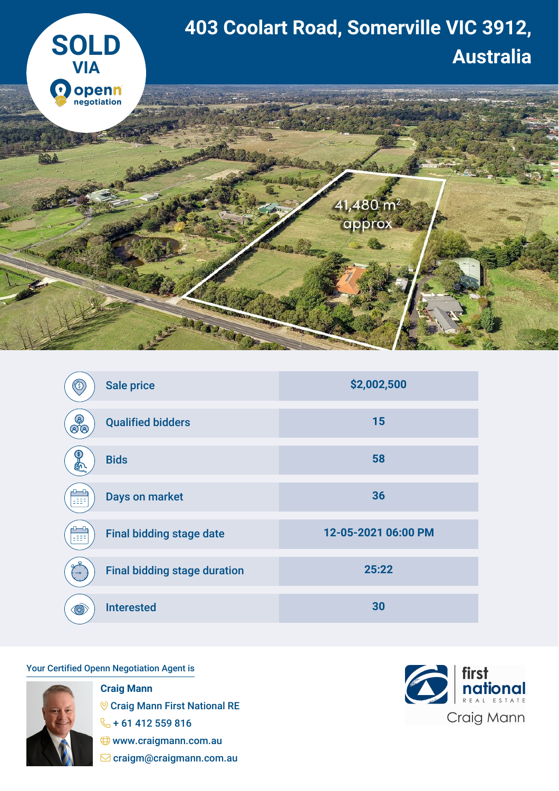

| (ś)                  | <b>Sale price</b>                   | \$2,002,500         |
|----------------------|-------------------------------------|---------------------|
| (ු<br>$\mathfrak{F}$ | <b>Qualified bidders</b>            | 15                  |
| $\left( 8\right)$    | <b>Bids</b>                         | 58                  |
| ⊶<br>699             | <b>Days on market</b>               | 36                  |
| 999                  | <b>Final bidding stage date</b>     | 12-05-2021 06:00 PM |
|                      | <b>Final bidding stage duration</b> | 25:22               |
| $\circledcirc$       | <b>Interested</b>                   | 30                  |

## Your Certified Openn Negotiation Agent is



**Craig Mann Craig Mann First National RE**  $\frac{6}{5}$  + 61 412 559 816 www.craigmann.com.au  $\Box$  craigm@craigmann.com.au

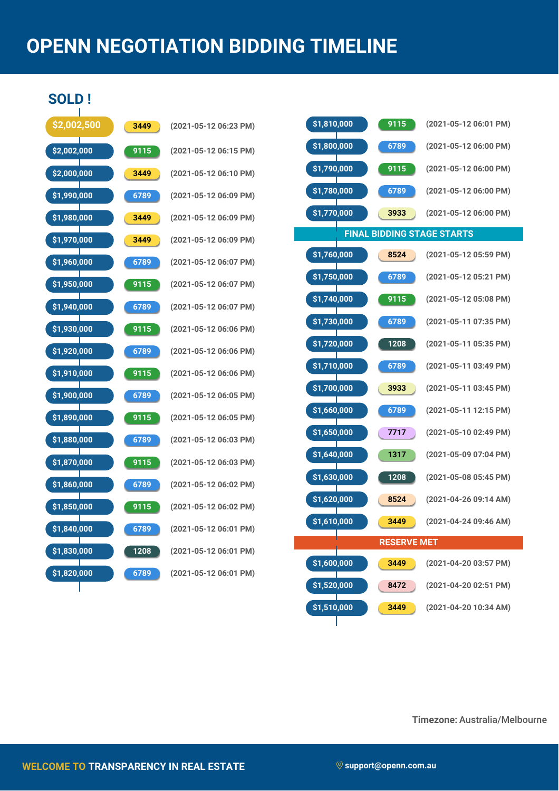## **OPENN NEGOTIATION BIDDING TIMELINE**

**SOLD !**

| \$2,002,500                |   | 3449              | (                        |
|----------------------------|---|-------------------|--------------------------|
| \$2,002,000                |   | 9115              | (                        |
| \$2,000,000                |   | 3449              | (                        |
| \$1,990,000                | Т | 6789              | (                        |
| \$1,980,000                |   | 3449              | (                        |
| \$1,970,000                |   | 3449              | (                        |
| \$1,960,000                |   | 6789              | (                        |
| \$1,950,000                |   | $\overline{9115}$ | (                        |
| \$1,940,000                |   | 6789              | (                        |
| \$1,930,000                |   | 9115              | (                        |
| \$1,920,000                | Т | 6789              | (                        |
| \$1,910,000                |   | 9115              | (                        |
| \$1,900,000                |   | 6789              | (                        |
| \$1,890,000                |   | 9115              | $\overline{\mathcal{L}}$ |
| \$1,880,000                |   | 6789              | (                        |
| \$1,870,000                |   | 9115              | (                        |
| \$1,860,000                |   | 6789              | (                        |
| \$1,850,000                |   | 9115              | (                        |
| \$1,840,000<br>\$1,830,000 |   | 6789<br>1208      | (                        |
| \$1,820,000                |   | 6789              | (<br>(                   |
|                            |   |                   |                          |

| 3449              | (2021-05-12 06:23 PM) |
|-------------------|-----------------------|
| 9115              | (2021-05-12 06:15 PM) |
| 3449              | (2021-05-12 06:10 PM) |
| 6789              | (2021-05-12 06:09 PM) |
| 3449              | (2021-05-12 06:09 PM) |
| 3449              | (2021-05-12 06:09 PM) |
| 6789              | (2021-05-12 06:07 PM) |
| 9115              | (2021-05-12 06:07 PM) |
| 6789              | (2021-05-12 06:07 PM) |
| 9115              | (2021-05-12 06:06 PM) |
| 6789              | (2021-05-12 06:06 PM) |
| $9\overline{115}$ | (2021-05-12 06:06 PM) |
| 6789              | (2021-05-12 06:05 PM) |
| 9115              | (2021-05-12 06:05 PM) |
| 6789              | (2021-05-12 06:03 PM) |
| 9115              | (2021-05-12 06:03 PM) |
| 6789              | (2021-05-12 06:02 PM) |
| 9115              | (2021-05-12 06:02 PM) |
| 6789              | (2021-05-12 06:01 PM) |
| 1208              | (2021-05-12 06:01 PM) |
| 6789              | (2021-05-12 06:01 PM) |

| \$1,810,000<br>9115               | (2021-05-12 06:01 PM) |  |  |  |  |
|-----------------------------------|-----------------------|--|--|--|--|
| \$1,800,000<br>6789               | (2021-05-12 06:00 PM) |  |  |  |  |
| \$1,790,000<br>9115               | (2021-05-12 06:00 PM) |  |  |  |  |
| \$1,780,000<br>6789               | (2021-05-12 06:00 PM) |  |  |  |  |
| \$1,770,000<br>3933               | (2021-05-12 06:00 PM) |  |  |  |  |
| <b>FINAL BIDDING STAGE STARTS</b> |                       |  |  |  |  |
| \$1,760,000<br>8524               | (2021-05-12 05:59 PM) |  |  |  |  |
| \$1,750,000<br>6789               | (2021-05-12 05:21 PM) |  |  |  |  |
| \$1,740,000<br>9115               | (2021-05-12 05:08 PM) |  |  |  |  |
| \$1,730,000<br>6789               | (2021-05-11 07:35 PM) |  |  |  |  |
| \$1,720,000<br>1208               | (2021-05-11 05:35 PM) |  |  |  |  |
| \$1,710,000<br>6789               | (2021-05-11 03:49 PM) |  |  |  |  |
| \$1,700,000<br>3933               | (2021-05-11 03:45 PM) |  |  |  |  |
| \$1,660,000<br>6789               | (2021-05-11 12:15 PM) |  |  |  |  |
| \$1,650,000<br>7717               | (2021-05-10 02:49 PM) |  |  |  |  |
|                                   |                       |  |  |  |  |
| \$1,640,000<br>1317               | (2021-05-09 07:04 PM) |  |  |  |  |
| \$1,630,000<br>1208               | (2021-05-08 05:45 PM) |  |  |  |  |
| \$1,620,000<br>8524               | (2021-04-26 09:14 AM) |  |  |  |  |
| \$1,610,000<br>3449               | (2021-04-24 09:46 AM) |  |  |  |  |
| <b>RESERVE MET</b>                |                       |  |  |  |  |
| \$1,600,000<br>3449               | (2021-04-20 03:57 PM) |  |  |  |  |
| \$1,520,000<br>8472               | (2021-04-20 02:51 PM) |  |  |  |  |

**Timezone:** Australia/Melbourne

Τ